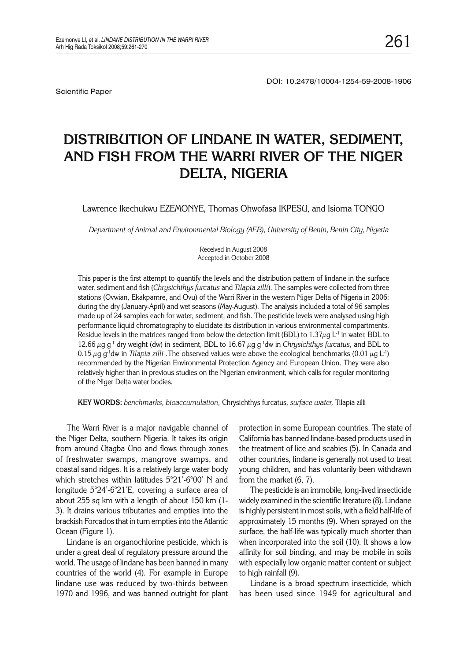Scientific Paper

# **DISTRIBUTION OF LINDANE IN WATER, SEDIMENT, AND FISH FROM THE WARRI RIVER OF THE NIGER DELTA, NIGERIA**

Lawrence Ikechukwu EZEMONYE, Thomas Ohwofasa IKPESU, and Isioma TONGO

*Department of Animal and Environmental Biology (AEB), University of Benin, Benin City, Nigeria*

Received in August 2008 Accepted in October 2008

This paper is the first attempt to quantify the levels and the distribution pattern of lindane in the surface water, sediment and fish (*Chrysichthys furcatus* and *Tilapia zilli*). The samples were collected from three stations (Ovwian, Ekakpamre, and Ovu) of the Warri River in the western Niger Delta of Nigeria in 2006: during the dry (January-April) and wet seasons (May-August). The analysis included a total of 96 samples made up of 24 samples each for water, sediment, and fish. The pesticide levels were analysed using high performance liquid chromatography to elucidate its distribution in various environmental compartments. Residue levels in the matrices ranged from below the detection limit (BDL) to 1.37 $\mu$ g L<sup>-1</sup> in water, BDL to 12.66  $\mu$ g g<sup>-1</sup> dry weight (dw) in sediment, BDL to 16.67  $\mu$ g g<sup>-1</sup>dw in *Chrysichthys furcatus*, and BDL to 0.15  $\mu$ g g<sup>-1</sup>dw in *Tilapia zilli* .The observed values were above the ecological benchmarks (0.01  $\mu$ g L<sup>-1</sup>) recommended by the Nigerian Environmental Protection Agency and European Union. They were also relatively higher than in previous studies on the Nigerian environment, which calls for regular monitoring of the Niger Delta water bodies.

**KEY WORDS:** *benchmarks, bioaccumulation,* Chrysichthys furcatus*, surface water,* Tilapia zilli

The Warri River is a major navigable channel of the Niger Delta, southern Nigeria. It takes its origin from around Utagba Uno and flows through zones of freshwater swamps, mangrove swamps, and coastal sand ridges. It is a relatively large water body which stretches within latitudes 5°21'-6°00' N and longitude 5°24'-6°21'E, covering a surface area of about 255 sq km with a length of about 150 km (1- 3). It drains various tributaries and empties into the brackish Forcados that in turn empties into the Atlantic Ocean (Figure 1).

Lindane is an organochlorine pesticide, which is under a great deal of regulatory pressure around the world. The usage of lindane has been banned in many countries of the world (4). For example in Europe lindane use was reduced by two-thirds between 1970 and 1996, and was banned outright for plant

protection in some European countries. The state of California has banned lindane-based products used in the treatment of lice and scabies (5). In Canada and other countries, lindane is generally not used to treat young children, and has voluntarily been withdrawn from the market (6, 7).

The pesticide is an immobile, long-lived insecticide widely examined in the scientific literature (8). Lindane is highly persistent in most soils, with a field half-life of approximately 15 months (9). When sprayed on the surface, the half-life was typically much shorter than when incorporated into the soil (10). It shows a low affinity for soil binding, and may be mobile in soils with especially low organic matter content or subject to high rainfall (9).

Lindane is a broad spectrum insecticide, which has been used since 1949 for agricultural and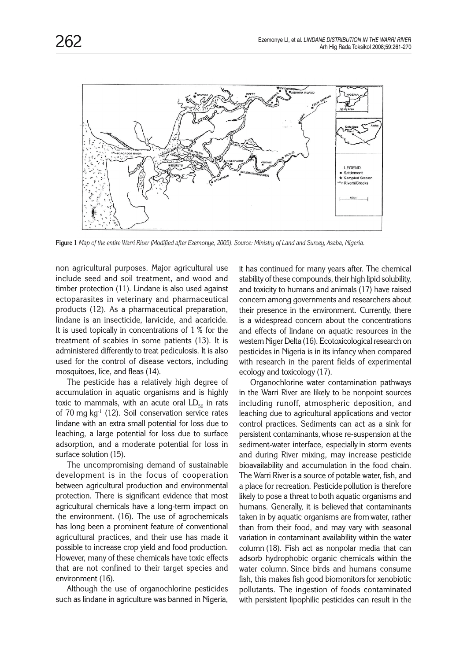

**Figure 1** *Map of the entire Warri River (Modified after Ezemonye, 2005). Source: Ministry of Land and Survey, Asaba, Nigeria.*

non agricultural purposes. Major agricultural use include seed and soil treatment, and wood and timber protection (11). Lindane is also used against ectoparasites in veterinary and pharmaceutical products (12). As a pharmaceutical preparation, lindane is an insecticide, larvicide, and acaricide. It is used topically in concentrations of 1 % for the treatment of scabies in some patients (13). It is administered differently to treat pediculosis. It is also used for the control of disease vectors, including mosquitoes, lice, and fleas (14).

The pesticide has a relatively high degree of accumulation in aquatic organisms and is highly toxic to mammals, with an acute oral  $LD_{50}$  in rats of 70 mg kg<sup>-1</sup> (12). Soil conservation service rates lindane with an extra small potential for loss due to leaching, a large potential for loss due to surface adsorption, and a moderate potential for loss in surface solution (15).

The uncompromising demand of sustainable development is in the focus of cooperation between agricultural production and environmental protection. There is significant evidence that most agricultural chemicals have a long-term impact on the environment. (16). The use of agrochemicals has long been a prominent feature of conventional agricultural practices, and their use has made it possible to increase crop yield and food production. However, many of these chemicals have toxic effects that are not confined to their target species and environment (16).

Although the use of organochlorine pesticides such as lindane in agriculture was banned in Nigeria, it has continued for many years after. The chemical stability of these compounds, their high lipid solubility, and toxicity to humans and animals (17) have raised concern among governments and researchers about their presence in the environment. Currently, there is a widespread concern about the concentrations and effects of lindane on aquatic resources in the western Niger Delta (16). Ecotoxicological research on pesticides in Nigeria is in its infancy when compared with research in the parent fields of experimental ecology and toxicology (17).

Organochlorine water contamination pathways in the Warri River are likely to be nonpoint sources including runoff, atmospheric deposition, and leaching due to agricultural applications and vector control practices. Sediments can act as a sink for persistent contaminants, whose re-suspension at the sediment-water interface, especially in storm events and during River mixing, may increase pesticide bioavailability and accumulation in the food chain. The Warri River is a source of potable water, fish, and a place for recreation. Pesticide pollution is therefore likely to pose a threat to both aquatic organisms and humans. Generally, it is believed that contaminants taken in by aquatic organisms are from water, rather than from their food, and may vary with seasonal variation in contaminant availability within the water column (18). Fish act as nonpolar media that can adsorb hydrophobic organic chemicals within the water column. Since birds and humans consume fish, this makes fish good biomonitors for xenobiotic pollutants. The ingestion of foods contaminated with persistent lipophilic pesticides can result in the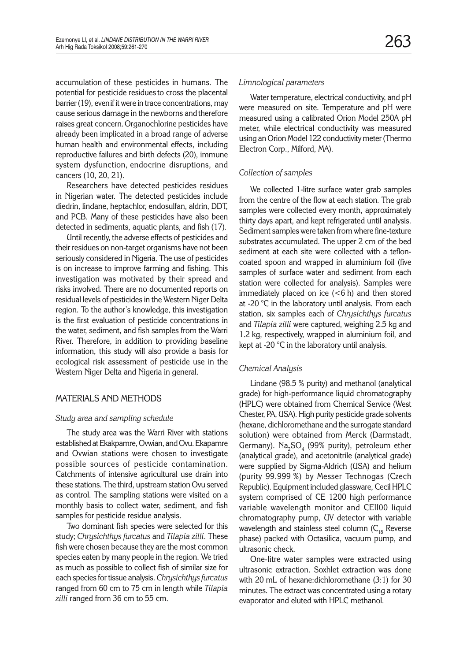accumulation of these pesticides in humans. The potential for pesticide residues to cross the placental barrier (19), evenif it were in trace concentrations, may cause serious damage in the newborns andtherefore raises great concern.Organochlorine pesticides have already been implicated in a broad range of adverse human health and environmental effects, including reproductive failures and birth defects (20), immune system dysfunction, endocrine disruptions, and cancers (10, 20, 21).

Researchers have detected pesticides residues in Nigerian water. The detected pesticides include diedrin, lindane, heptachlor, endosulfan, aldrin, DDT, and PCB. Many of these pesticides have also been detected in sediments, aquatic plants, and fish (17).

Until recently, the adverse effects of pesticides and their residues on non-target organisms have not been seriously considered in Nigeria. The use of pesticides is on increase to improve farming and fishing. This investigation was motivated by their spread and risks involved. There are no documented reports on residual levels of pesticides in the Western Niger Delta region. To the author's knowledge, this investigation is the first evaluation of pesticide concentrations in the water, sediment, and fish samples from the Warri River. Therefore, in addition to providing baseline information, this study will also provide a basis for ecological risk assessment of pesticide use in the Western Niger Delta and Nigeria in general.

## MATERIALS AND METHODS

## *Study area and sampling schedule*

The study area was the Warri River with stations established at Ekakpamre, Ovwian, and Ovu. Ekapamre and Ovwian stations were chosen to investigate possible sources of pesticide contamination. Catchments of intensive agricultural use drain into these stations. The third, upstream station Ovu served as control. The sampling stations were visited on a monthly basis to collect water, sediment, and fish samples for pesticide residue analysis.

Two dominant fish species were selected for this study; *Chrysichthys furcatus* and *Tilapia zilli*. These fish were chosen because they are the most common species eaten by many people in the region. We tried as much as possible to collect fish of similar size for each species for tissue analysis. *Chrysichthys furcatus*  ranged from 60 cm to 75 cm in length while *Tilapia zilli* ranged from 36 cm to 55 cm.

#### *Limnological parameters*

Water temperature, electrical conductivity, and pH were measured on site. Temperature and pH were measured using a calibrated Orion Model 250A pH meter, while electrical conductivity was measured using an Orion Model 122 conductivity meter (Thermo Electron Corp., Milford, MA).

## *Collection of samples*

We collected 1-litre surface water grab samples from the centre of the flow at each station. The grab samples were collected every month, approximately thirty days apart, and kept refrigerated until analysis. Sediment samples were taken from where fine-texture substrates accumulated. The upper 2 cm of the bed sediment at each site were collected with a tefloncoated spoon and wrapped in aluminium foil (five samples of surface water and sediment from each station were collected for analysis). Samples were immediately placed on ice  $(<6 h)$  and then stored at -20 °C in the laboratory until analysis. From each station, six samples each of *Chrysichthys furcatus*  and *Tilapia zilli* were captured, weighing 2.5 kg and 1.2 kg, respectively, wrapped in aluminium foil, and kept at -20 °C in the laboratory until analysis.

## *Chemical Analysis*

Lindane (98.5 % purity) and methanol (analytical grade) for high-performance liquid chromatography (HPLC) were obtained from Chemical Service (West Chester, PA, USA). High purity pesticide grade solvents (hexane, dichloromethane and the surrogate standard solution) were obtained from Merck (Darmstadt, Germany).  $\text{Na}_2\text{SO}_4$  (99% purity), petroleum ether (analytical grade), and acetonitrile (analytical grade) were supplied by Sigma-Aldrich (USA) and helium (purity 99.999 %) by Messer Technogas (Czech Republic). Equipment included glassware, Cecil HPLC system comprised of CE 1200 high performance variable wavelength monitor and CEII00 liquid chromatography pump, UV detector with variable wavelength and stainless steel column  $(C_{18}$  Reverse phase) packed with Octasilica, vacuum pump, and ultrasonic check.

One-litre water samples were extracted using ultrasonic extraction. Soxhlet extraction was done with 20 mL of hexane:dichloromethane (3:1) for 30 minutes. The extract was concentrated using a rotary evaporator and eluted with HPLC methanol.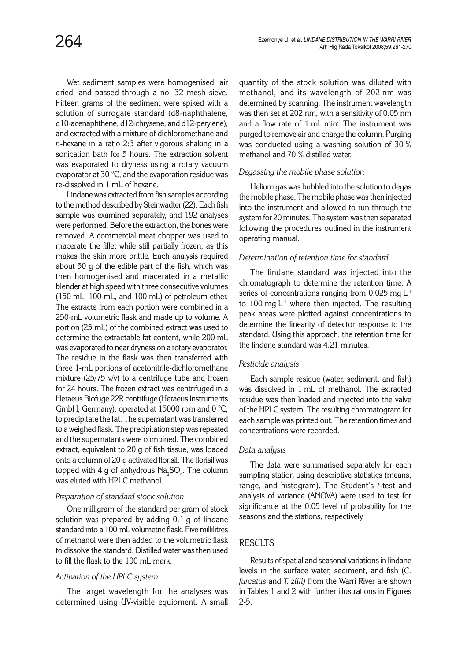Wet sediment samples were homogenised, air dried, and passed through a no. 32 mesh sieve. Fifteen grams of the sediment were spiked with a solution of surrogate standard (d8-naphthalene, d10-acenaphthene, d12-chrysene, and d12-perylene), and extracted with a mixture of dichloromethane and *n*-hexane in a ratio 2:3 after vigorous shaking in a sonication bath for 5 hours. The extraction solvent was evaporated to dryness using a rotary vacuum evaporator at 30 °C, and the evaporation residue was re-dissolved in 1 mL of hexane.

Lindane was extracted from fish samples according to the method described by Steinwadter (22). Each fish sample was examined separately, and 192 analyses were performed. Before the extraction, the bones were removed. A commercial meat chopper was used to macerate the fillet while still partially frozen, as this makes the skin more brittle. Each analysis required about 50 g of the edible part of the fish, which was then homogenised and macerated in a metallic blender at high speed with three consecutive volumes (150 mL, 100 mL, and 100 mL) of petroleum ether. The extracts from each portion were combined in a 250-mL volumetric flask and made up to volume. A portion (25 mL) of the combined extract was used to determine the extractable fat content, while 200 mL was evaporated to near dryness on a rotary evaporator. The residue in the flask was then transferred with three 1-mL portions of acetonitrile-dichloromethane mixture ( $25/75$  v/v) to a centrifuge tube and frozen for 24 hours. The frozen extract was centrifuged in a Heraeus Biofuge 22R centrifuge (Heraeus Instruments GmbH, Germany), operated at 15000 rpm and 0  $^{\circ}$ C, to precipitate the fat. The supernatant was transferred to a weighed flask. The precipitation step was repeated and the supernatants were combined. The combined extract, equivalent to 20 g of fish tissue, was loaded onto a column of 20 g activated florisil. The florisil was topped with 4 g of anhydrous  $\text{Na}_2\text{SO}_4$ . The column was eluted with HPLC methanol.

## *Preparation of standard stock solution*

One milligram of the standard per gram of stock solution was prepared by adding 0.1 g of lindane standard into a 100 mL volumetric flask. Five millilitres of methanol were then added to the volumetric flask to dissolve the standard. Distilled water was then used to fill the flask to the 100 mL mark.

## *Activation of the HPLC system*

The target wavelength for the analyses was determined using UV-visible equipment. A small

quantity of the stock solution was diluted with methanol, and its wavelength of 202 nm was determined by scanning. The instrument wavelength was then set at 202 nm, with a sensitivity of 0.05 nm and a flow rate of 1 mL min-1.The instrument was purged to remove air and charge the column. Purging was conducted using a washing solution of 30 % methanol and 70 % distilled water.

## *Degassing the mobile phase solution*

Helium gas was bubbled into the solution to degas the mobile phase. The mobile phase was then injected into the instrument and allowed to run through the system for 20 minutes. The system was then separated following the procedures outlined in the instrument operating manual.

## *Determination of retention time for standard*

The lindane standard was injected into the chromatograph to determine the retention time. A series of concentrations ranging from  $0.025$  mg  $L^{-1}$ to 100 mg  $L^{-1}$  where then injected. The resulting peak areas were plotted against concentrations to determine the linearity of detector response to the standard. Using this approach, the retention time for the lindane standard was 4.21 minutes.

## *Pesticide analysis*

Each sample residue (water, sediment, and fish) was dissolved in 1 mL of methanol. The extracted residue was then loaded and injected into the valve of the HPLC system. The resulting chromatogram for each sample was printed out. The retention times and concentrations were recorded.

## *Data analysis*

The data were summarised separately for each sampling station using descriptive statistics (means, range, and histogram). The Student's *t*-test and analysis of variance (ANOVA) were used to test for significance at the 0.05 level of probability for the seasons and the stations, respectively.

## **RESULTS**

Results of spatial and seasonal variations in lindane levels in the surface water, sediment, and fish (*C. furcatus* and *T. zilli)* from the Warri River are shown in Tables 1 and 2 with further illustrations in Figures 2-5.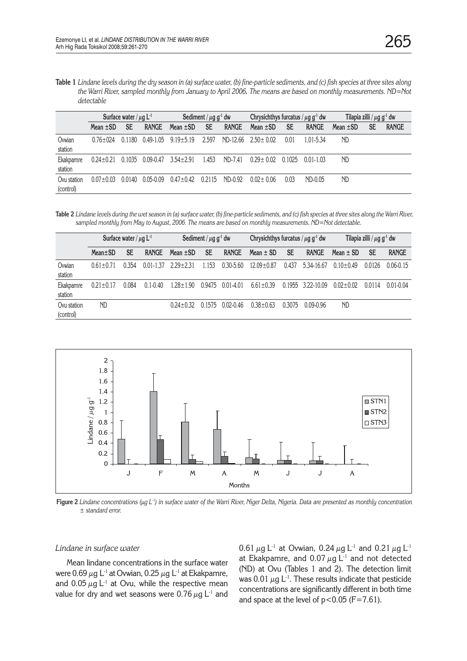**Table 1** *Lindane levels during the dry season in (a) surface water, (b) fine-particle sediments, and (c) fish species at three sites along the Warri River, sampled monthly from January to April 2006. The means are based on monthly measurements. ND=Not detectable*

|                          | Surface water / $\mu$ g L <sup>-1</sup> |           |               | Sediment / $\mu$ g g <sup>-1</sup> dw |           |              | Chrysichthys furcatus / $\mu$ g g <sup>-1</sup> dw |           |               | Tilapia zilli / $\mu$ g g <sup>-1</sup> dw |           |              |
|--------------------------|-----------------------------------------|-----------|---------------|---------------------------------------|-----------|--------------|----------------------------------------------------|-----------|---------------|--------------------------------------------|-----------|--------------|
|                          | Mean $\pm$ SD                           | <b>SE</b> | <b>RANGE</b>  | Mean $\pm$ SD                         | <b>SE</b> | <b>RANGE</b> | Mean $\pm$ SD                                      | <b>SE</b> | <b>RANGE</b>  | Mean $\pm$ SD                              | <b>SE</b> | <b>RANGE</b> |
| Ovwian<br>station        | $0.76 + 0.24$                           | 0 1 1 8 0 | $0.49 - 1.05$ | $9.19 + 5.19$                         | 2.597     | ND-12.66     | $2.50 + 0.02$                                      | 0.01      | 1.01-5.34     | ND                                         |           |              |
| Ekakpamre<br>station     | $0.24 + 0.21$                           | 0.1035    | 0.09-0.47     | $3.54 \pm 2.91$                       | 1.453     | ND-7.41      | $0.29 + 0.02$                                      | 0.1025    | $0.01 - 1.03$ | <b>ND</b>                                  |           |              |
| Ovu station<br>(control) | $0.07 + 0.03$                           | 0.0140    | $0.05 - 0.09$ | $0.47 + 0.42$                         | 0 2 1 1 5 | $ND-0.92$    | $0.02 + 0.06$                                      | 0.03      | ND-0.05       | ND.                                        |           |              |

**Table 2** *Lindane levels during the wet season in (a) surface water, (b) fine-particle sediments, and (c) fish species at three sites along the Warri River, sampled monthly from May to August, 2006. The means are based on monthly measurements. ND=Not detectable*.

|                          | Surface water / $\mu$ g L <sup>-1</sup> |           |               | Sediment / $\mu$ g g <sup>-1</sup> dw |           |               | Chrysichthys furcatus / $\mu$ g g <sup>-1</sup> dw |           |              | Tilapia zilli / $\mu$ g g <sup>-1</sup> dw |        |               |
|--------------------------|-----------------------------------------|-----------|---------------|---------------------------------------|-----------|---------------|----------------------------------------------------|-----------|--------------|--------------------------------------------|--------|---------------|
|                          | $Mean \pm SD$                           | <b>SE</b> | <b>RANGE</b>  | Mean $\pm$ SD                         | <b>SE</b> | <b>RANGE</b>  | $Mean \pm SD$                                      | <b>SE</b> | <b>RANGE</b> | Mean $\pm$ SD                              | SE     | <b>RANGE</b>  |
| Ovwian<br>station        | $0.61 + 0.71$                           | 0.354     | $0.01 - 1.37$ | $229 + 231$                           | 1 1 5 3   | $0.30 - 5.60$ | $12.09 + 0.87$                                     | 0.437     | 5.34-16.67   | $0.10 + 0.49$                              | 0.0126 | $0.06 - 0.15$ |
| Ekakpamre<br>station     | $0.21 \pm 0.17$                         | 0.084     | $0.1 - 0.40$  | $1.28 \pm 1.90$                       | 0.9475    | $0.01 - 4.01$ | $6.61 + 0.39$                                      | 0.1955    | 3.22-10.09   | $0.02 + 0.02$                              | 0.0114 | $0.01 - 0.04$ |
| Ovu station<br>(control) | ND                                      |           |               | $0.24 + 0.32$                         | 01575     | $0.02 - 0.46$ | $0.38 + 0.63$                                      | 0.3075    | 0.09-0.96    | <b>ND</b>                                  |        |               |



**Figure 2** *Lindane concentrations (µg L-1) in surface water of the Warri River, Niger Delta, Nigeria. Data are presented as monthly concentration ± standard error.*

#### *Lindane in surface water*

Mean lindane concentrations in the surface water were 0.69  $\mu$ g L<sup>-1</sup> at Ovwian, 0.25  $\mu$ g L<sup>-1</sup> at Ekakpamre, and  $0.05 \mu g L^{-1}$  at Ovu, while the respective mean value for dry and wet seasons were 0.76  $\mu$ g L<sup>-1</sup> and 0.61  $\mu$ g L<sup>-1</sup> at Ovwian, 0.24  $\mu$ g L<sup>-1</sup> and 0.21  $\mu$ g L<sup>-1</sup> at Ekakpamre, and 0.07  $\mu$ g L<sup>-1</sup> and not detected (ND) at Ovu (Tables 1 and 2). The detection limit was 0.01  $\mu$ g L<sup>-1</sup>. These results indicate that pesticide concentrations are significantly different in both time and space at the level of  $p < 0.05$  (F=7.61).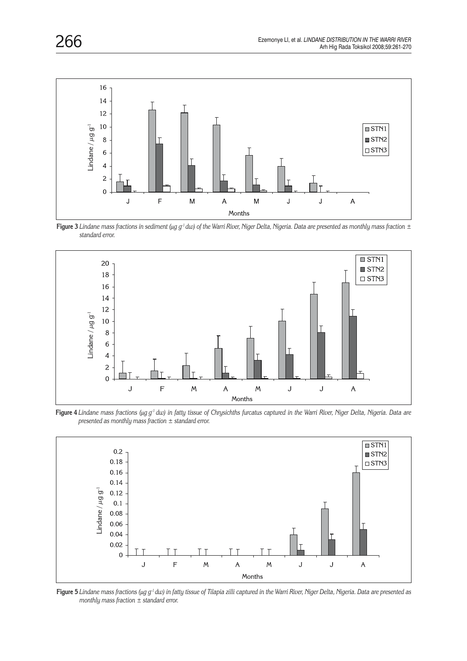

**Figure 3** *Lindane mass fractions in sediment (µg g-1 dw) of the Warri River, Niger Delta, Nigeria. Data are presented as monthly mass fraction ± standard error.*



**Figure 4** *Lindane mass fractions (µg g-1 dw) in fatty tissue of Chrysichths furcatus captured in the Warri River, Niger Delta, Nigeria. Data are presented as monthly mass fraction ± standard error.*



**Figure 5** *Lindane mass fractions (µg g-1 dw) in fatty tissue of Tilapia zilli captured in the Warri River, Niger Delta, Nigeria. Data are presented as monthly mass fraction ± standard error.*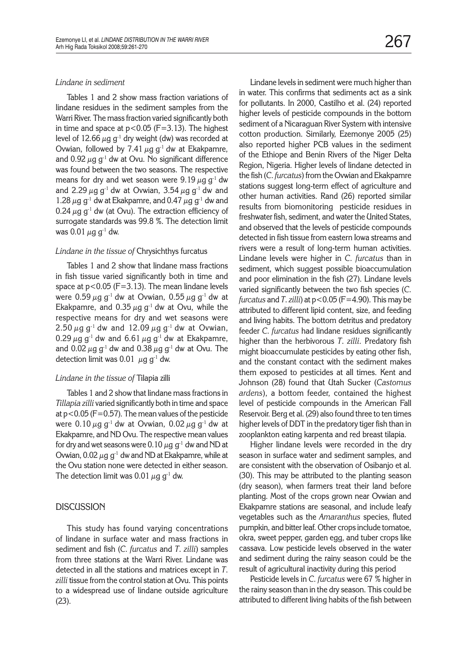#### *Lindane in sediment*

Tables 1 and 2 show mass fraction variations of lindane residues in the sediment samples from the Warri River. The mass fraction varied significantly both in time and space at  $p < 0.05$  (F=3.13). The highest level of 12.66  $\mu$ g g<sup>-1</sup> dry weight (dw) was recorded at Ovwian, followed by 7.41  $\mu$ g g<sup>-1</sup> dw at Ekakpamre, and 0.92  $\mu$ g g<sup>-1</sup> dw at Ovu. No significant difference was found between the two seasons. The respective means for dry and wet season were 9.19  $\mu$ g g<sup>-1</sup> dw and 2.29  $\mu$ g g<sup>-1</sup> dw at Ovwian, 3.54  $\mu$ g g<sup>-1</sup> dw and 1.28  $\mu$ g g<sup>-1</sup> dw at Ekakpamre, and 0.47  $\mu$ g g<sup>-1</sup> dw and 0.24  $\mu$ g g<sup>-1</sup> dw (at Ovu). The extraction efficiency of surrogate standards was 99.8 %. The detection limit was  $0.01 \mu g g^{-1}$  dw.

#### *Lindane in the tissue of* Chrysichthys furcatus

Tables 1 and 2 show that lindane mass fractions in fish tissue varied significantly both in time and space at  $p < 0.05$  (F=3.13). The mean lindane levels were  $0.59 \mu g g^{-1}$  dw at Ovwian,  $0.55 \mu g g^{-1}$  dw at Ekakpamre, and 0.35  $\mu$ g g<sup>-1</sup> dw at Ovu, while the respective means for dry and wet seasons were 2.50  $\mu$ g g<sup>-1</sup> dw and 12.09  $\mu$ g g<sup>-1</sup> dw at Ovwian, 0.29  $\mu$ g g<sup>-1</sup> dw and 6.61  $\mu$ g g<sup>-1</sup> dw at Ekakpamre, and 0.02  $\mu$ g g<sup>-1</sup> dw and 0.38  $\mu$ g g<sup>-1</sup> dw at Ovu. The detection limit was 0.01  $\mu$ g g<sup>-1</sup> dw.

#### *Lindane in the tissue of* Tilapia zilli

Tables 1 and 2 show that lindane mass fractions in *Tillapia zilli* varied significantly both in time and space at  $p < 0.05$  (F=0.57). The mean values of the pesticide were  $0.10 \mu g g^{-1}$  dw at Ovwian,  $0.02 \mu g g^{-1}$  dw at Ekakpamre, and ND Ovu. The respective mean values for dry and wet seasons were 0.10  $\mu$ g g<sup>-1</sup> dw and ND at Ovwian, 0.02  $\mu$ g g<sup>-1</sup> dw and ND at Ekakpamre, while at the Ovu station none were detected in either season. The detection limit was 0.01  $\mu$ g g<sup>-1</sup> dw.

#### **DISCUSSION**

This study has found varying concentrations of lindane in surface water and mass fractions in sediment and fish (*C*. *furcatus* and *T*. *zilli*) samples from three stations at the Warri River. Lindane was detected in all the stations and matrices except in *T*. *zilli* tissue from the control station at Ovu. This points to a widespread use of lindane outside agriculture (23).

Lindane levels in sediment were much higher than in water. This confirms that sediments act as a sink for pollutants. In 2000, Castilho et al. (24) reported higher levels of pesticide compounds in the bottom sediment of a Nicaraguan River System with intensive cotton production. Similarly, Ezemonye 2005 (25) also reported higher PCB values in the sediment of the Ethiope and Benin Rivers of the Niger Delta Region, Nigeria. Higher levels of lindane detected in the fish (*C*. *furcatus*) from the Ovwian and Ekakpamre stations suggest long-term effect of agriculture and other human activities. Rand (26) reported similar results from biomonitoring pesticide residues in freshwater fish, sediment, and water the United States, and observed that the levels of pesticide compounds detected in fish tissue from eastern Iowa streams and rivers were a result of long-term human activities. Lindane levels were higher in *C. furcatus* than in sediment, which suggest possible bioaccumulation and poor elimination in the fish (27). Lindane levels varied significantly between the two fish species (*C*. *furcatus* and *T*. *zilli*) at p<0.05 (F=4.90). This may be attributed to different lipid content, size, and feeding and living habits. The bottom detritus and predatory feeder *C*. *furcatus* had lindane residues significantly higher than the herbivorous *T*. *zilli.* Predatory fish might bioaccumulate pesticides by eating other fish, and the constant contact with the sediment makes them exposed to pesticides at all times. Kent and Johnson (28) found that Utah Sucker (*Castomus ardens*), a bottom feeder, contained the highest level of pesticide compounds in the American Fall Reservoir. Berg et al. (29) also found three to ten times higher levels of DDT in the predatory tiger fish than in zooplankton eating karpenta and red breast tilapia.

Higher lindane levels were recorded in the dry season in surface water and sediment samples, and are consistent with the observation of Osibanjo et al. (30). This may be attributed to the planting season (dry season), when farmers treat their land before planting. Most of the crops grown near Ovwian and Ekakpamre stations are seasonal, and include leafy vegetables such as the *Amaranthus* species, fluted pumpkin, and bitter leaf. Other crops include tomatoe, okra, sweet pepper, garden egg, and tuber crops like cassava. Low pesticide levels observed in the water and sediment during the rainy season could be the result of agricultural inactivity during this period

Pesticide levels in *C*. *furcatus* were 67 % higher in the rainy season than in the dry season. This could be attributed to different living habits of the fish between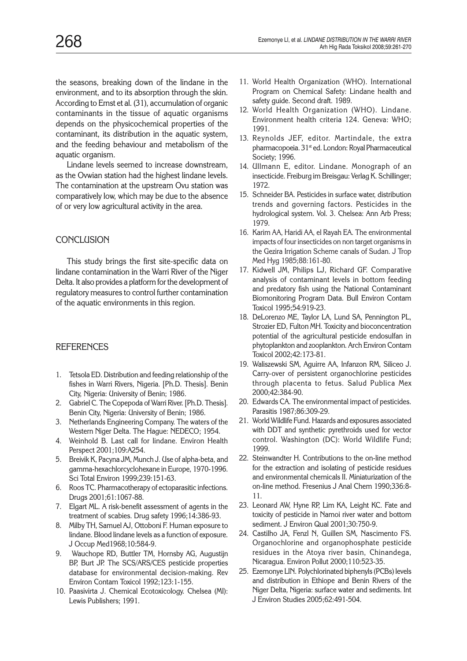the seasons, breaking down of the lindane in the environment, and to its absorption through the skin. According to Ernst et al. (31), accumulation of organic contaminants in the tissue of aquatic organisms depends on the physicochemical properties of the contaminant, its distribution in the aquatic system, and the feeding behaviour and metabolism of the aquatic organism.

Lindane levels seemed to increase downstream, as the Ovwian station had the highest lindane levels. The contamination at the upstream Ovu station was comparatively low, which may be due to the absence of or very low agricultural activity in the area.

## **CONCLUSION**

This study brings the first site-specific data on lindane contamination in the Warri River of the Niger Delta. It also provides a platform for the development of regulatory measures to control further contamination of the aquatic environments in this region.

## **REFERENCES**

- 1. Tetsola ED. Distribution and feeding relationship of the fishes in Warri Rivers, Nigeria. [Ph.D. Thesis]. Benin City, Nigeria: University of Benin; 1986.
- 2. Gabriel C. The Copepoda of Warri River. [Ph.D. Thesis]. Benin City, Nigeria: University of Benin; 1986.
- 3. Netherlands Engineering Company. The waters of the Western Niger Delta. The Hague: NEDECO; 1954.
- 4. Weinhold B. Last call for lindane*.* Environ Health Perspect 2001;109:A254.
- 5. Breivik K, Pacyna JM, Munch J. Use of alpha-beta, and gamma-hexachlorcyclohexane in Europe, 1970-1996. Sci Total Environ 1999;239:151-63.
- 6. Roos TC. Pharmacotherapy of ectoparasitic infections. Drugs 2001;61:1067-88.
- 7. Elgart ML. A risk-benefit assessment of agents in the treatment of scabies. Drug safety 1996;14:386-93.
- 8. Milby TH, Samuel AJ, Ottoboni F. Human exposure to lindane. Blood lindane levels as a function of exposure. J Occup Med1968;10:584-9.
- 9. Wauchope RD, Buttler TM, Hornsby AG, Augustijn BP, Burt JP. The SCS/ARS/CES pesticide properties database for environmental decision-making. Rev Environ Contam Toxicol 1992;123:1-155.
- 10. Paasivirta J. Chemical Ecotoxicology. Chelsea (MI): Lewis Publishers; 1991.
- 11. World Health Organization (WHO). International Program on Chemical Safety: Lindane health and safety guide. Second draft. 1989.
- 12. World Health Organization (WHO). Lindane. Environment health criteria 124. Geneva: WHO; 1991.
- 13. Reynolds JEF, editor. Martindale, the extra pharmacopoeia. 31<sup>st</sup> ed. London: Royal Pharmaceutical Society; 1996.
- 14. Ullmann E, editor. Lindane. Monograph of an insecticide. Freiburg im Breisgau: Verlag K. Schillinger; 1972.
- 15. Schneider BA. Pesticides in surface water, distribution trends and governing factors. Pesticides in the hydrological system. Vol. 3. Chelsea: Ann Arb Press; 1979.
- 16. Karim AA, Haridi AA, el Rayah EA. The environmental impacts of four insecticides on non target organisms in the Gezira Irrigation Scheme canals of Sudan. J Trop Med Hyg 1985;88:161-80.
- 17. Kidwell JM, Philips LJ, Richard GF. Comparative analysis of contaminant levels in bottom feeding and predatory fish using the National Contaminant Biomonitoring Program Data. Bull Environ Contam Toxicol 1995;54:919-23.
- 18. DeLorenzo ME, Taylor LA, Lund SA, Pennington PL, Strozier ED, Fulton MH. Toxicity and bioconcentration potential of the agricultural pesticide endosulfan in phytoplankton and zooplankton. Arch Environ Contam Toxicol 2002;42:173-81.
- 19. Waliszewski SM, Aguirre AA, Infanzon RM, Siliceo J. Carry-over of persistent organochlorine pesticides through placenta to fetus. Salud Publica Mex 2000;42:384-90.
- 20. Edwards CA. The environmental impact of pesticides. Parasitis 1987;86:309-29.
- 21. World Wildlife Fund. Hazards and exposures associated with DDT and synthetic pyrethroids used for vector control. Washington (DC): World Wildlife Fund; 1999.
- 22. Steinwandter H. Contributions to the on-line method for the extraction and isolating of pesticide residues and environmental chemicals II. Miniaturization of the on-line method. Fresenius J Anal Chem 1990;336:8- 11.
- 23. Leonard AW, Hyne RP, Lim KA, Leight KC. Fate and toxicity of pesticide in Namoi river water and bottom sediment. J Environ Qual 2001;30:750-9.
- 24. Castilho JA, Fenzl N, Guillen SM, Nascimento FS. Organochlorine and organophosphate pesticide residues in the Atoya river basin, Chinandega, Nicaragua. Environ Pollut 2000;110:523-35.
- 25. Ezemonye LIN. Polychlorinated biphenyls (PCBs) levels and distribution in Ethiope and Benin Rivers of the Niger Delta, Nigeria: surface water and sediments. Int J Environ Studies 2005;62:491-504.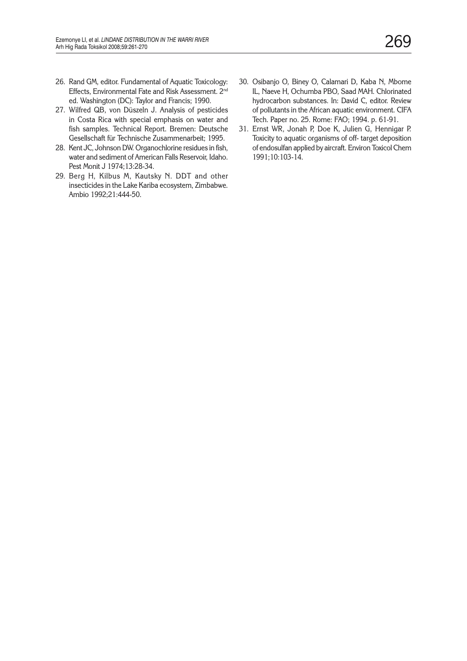- 26. Rand GM, editor. Fundamental of Aquatic Toxicology: Effects, Environmental Fate and Risk Assessment. 2nd ed. Washington (DC): Taylor and Francis; 1990.
- 27. Wilfred QB, von Düszeln J. Analysis of pesticides in Costa Rica with special emphasis on water and fish samples. Technical Report. Bremen: Deutsche Gesellschaft für Technische Zusammenarbeit; 1995.
- 28. Kent JC, Johnson DW. Organochlorine residues in fish, water and sediment of American Falls Reservoir, Idaho. Pest Monit J 1974;13:28-34.
- 29. Berg H, Kilbus M, Kautsky N. DDT and other insecticides in the Lake Kariba ecosystem, Zimbabwe. Ambio 1992;21:444-50.
- 30. Osibanjo O, Biney O, Calamari D, Kaba N, Mbome IL, Naeve H, Ochumba PBO, Saad MAH. Chlorinated hydrocarbon substances. In: David C, editor. Review of pollutants in the African aquatic environment. CIFA Tech. Paper no. 25. Rome: FAO; 1994. p. 61-91.
- 31. Ernst WR, Jonah P, Doe K, Julien G, Hennigar P. Toxicity to aquatic organisms of off- target deposition of endosulfan applied by aircraft. Environ Toxicol Chem 1991;10:103-14.